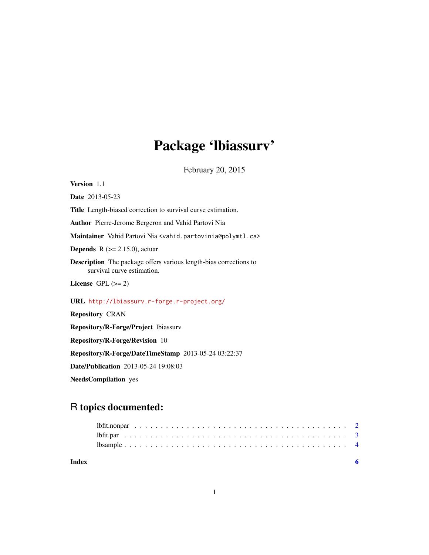## Package 'lbiassurv'

February 20, 2015

Version 1.1 Date 2013-05-23 Title Length-biased correction to survival curve estimation. Author Pierre-Jerome Bergeron and Vahid Partovi Nia Maintainer Vahid Partovi Nia <vahid.partovinia@polymtl.ca> **Depends** R  $(>= 2.15.0)$ , actuar Description The package offers various length-bias corrections to survival curve estimation. License GPL  $(>= 2)$ URL <http://lbiassurv.r-forge.r-project.org/> Repository CRAN Repository/R-Forge/Project lbiassurv Repository/R-Forge/Revision 10 Repository/R-Forge/DateTimeStamp 2013-05-24 03:22:37 Date/Publication 2013-05-24 19:08:03

NeedsCompilation yes

## R topics documented:

| Index |  |  |  |  |  |  |  |  |  |  |  |  |  |  |  |  |  |  |  |  |
|-------|--|--|--|--|--|--|--|--|--|--|--|--|--|--|--|--|--|--|--|--|
|       |  |  |  |  |  |  |  |  |  |  |  |  |  |  |  |  |  |  |  |  |
|       |  |  |  |  |  |  |  |  |  |  |  |  |  |  |  |  |  |  |  |  |
|       |  |  |  |  |  |  |  |  |  |  |  |  |  |  |  |  |  |  |  |  |
|       |  |  |  |  |  |  |  |  |  |  |  |  |  |  |  |  |  |  |  |  |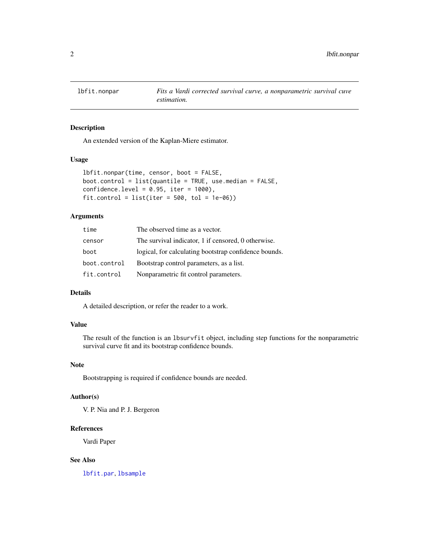<span id="page-1-1"></span><span id="page-1-0"></span>

#### Description

An extended version of the Kaplan-Miere estimator.

#### Usage

```
lbfit.nonpar(time, censor, boot = FALSE,
boot.control = list(quantile = TRUE, use.median = FALSE,
confidence. level = 0.95, iter = 1000,
fit.control = list(iter = 500, tol = 1e-06)
```
#### Arguments

| time         | The observed time as a vector.                        |
|--------------|-------------------------------------------------------|
| censor       | The survival indicator, 1 if censored, 0 otherwise.   |
| boot         | logical, for calculating bootstrap confidence bounds. |
| boot.control | Bootstrap control parameters, as a list.              |
| fit.control  | Nonparametric fit control parameters.                 |

#### Details

A detailed description, or refer the reader to a work.

#### Value

The result of the function is an lbsurvfit object, including step functions for the nonparametric survival curve fit and its bootstrap confidence bounds.

#### Note

Bootstrapping is required if confidence bounds are needed.

#### Author(s)

V. P. Nia and P. J. Bergeron

#### References

Vardi Paper

#### See Also

[lbfit.par](#page-2-1), [lbsample](#page-3-1)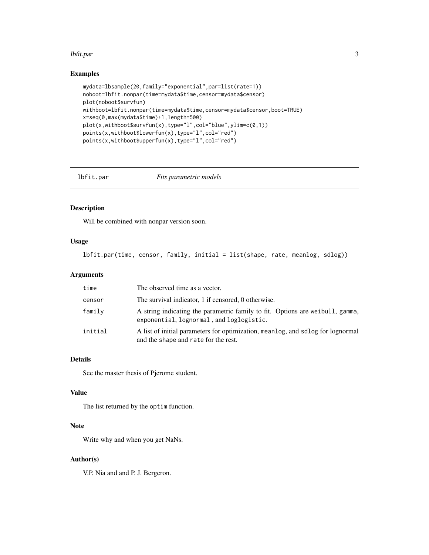#### <span id="page-2-0"></span>lbfit.par 3

#### Examples

```
mydata=lbsample(20,family="exponential",par=list(rate=1))
noboot=lbfit.nonpar(time=mydata$time,censor=mydata$censor)
plot(noboot$survfun)
withboot=lbfit.nonpar(time=mydata$time,censor=mydata$censor,boot=TRUE)
x=seq(0,max(mydata$time)+1,length=500)
plot(x,withboot$survfun(x),type="l",col="blue",ylim=c(0,1))
points(x,withboot$lowerfun(x),type="l",col="red")
points(x,withboot$upperfun(x),type="l",col="red")
```
<span id="page-2-1"></span>

lbfit.par *Fits parametric models*

#### Description

Will be combined with nonpar version soon.

#### Usage

lbfit.par(time, censor, family, initial = list(shape, rate, meanlog, sdlog))

#### Arguments

| time    | The observed time as a vector.                                                                                            |
|---------|---------------------------------------------------------------------------------------------------------------------------|
| censor  | The survival indicator, 1 if censored, 0 otherwise.                                                                       |
| family  | A string indicating the parametric family to fit. Options are weibull, gamma,<br>exponential, lognormal, and loglogistic. |
| initial | A list of initial parameters for optimization, meanlog, and sdlog for lognormal<br>and the shape and rate for the rest.   |

#### Details

See the master thesis of Pjerome student.

#### Value

The list returned by the optim function.

#### Note

Write why and when you get NaNs.

#### Author(s)

V.P. Nia and and P. J. Bergeron.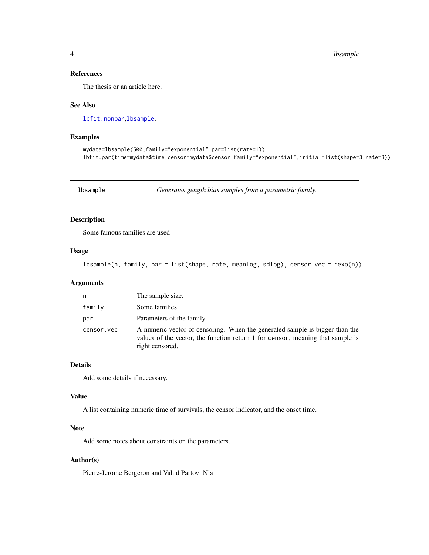#### <span id="page-3-0"></span>4 lbsample

#### References

The thesis or an article here.

#### See Also

[lbfit.nonpar](#page-1-1),[lbsample](#page-3-1).

#### Examples

```
mydata=lbsample(500,family="exponential",par=list(rate=1))
lbfit.par(time=mydata$time,censor=mydata$censor,family="exponential",initial=list(shape=3,rate=3))
```
<span id="page-3-1"></span>lbsample *Generates gength bias samples from a parametric family.*

#### Description

Some famous families are used

#### Usage

lbsample(n, family, par = list(shape, rate, meanlog, sdlog), censor.vec = rexp(n))

#### Arguments

| n          | The sample size.                                                                                                                                                                 |
|------------|----------------------------------------------------------------------------------------------------------------------------------------------------------------------------------|
| family     | Some families.                                                                                                                                                                   |
| par        | Parameters of the family.                                                                                                                                                        |
| censor.vec | A numeric vector of censoring. When the generated sample is bigger than the<br>values of the vector, the function return 1 for censor, meaning that sample is<br>right censored. |

#### Details

Add some details if necessary.

#### Value

A list containing numeric time of survivals, the censor indicator, and the onset time.

#### Note

Add some notes about constraints on the parameters.

#### Author(s)

Pierre-Jerome Bergeron and Vahid Partovi Nia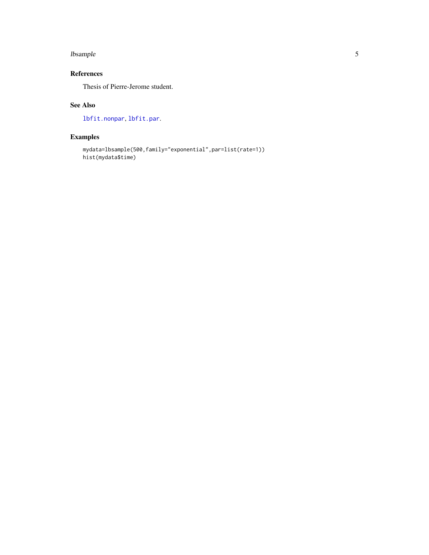#### <span id="page-4-0"></span>lbsample 55 and 55 and 55 and 55 and 55 and 55 and 55 and 55 and 55 and 55 and 55 and 55 and 55 and 55 and 55 and 55 and 55 and 55 and 55 and 55 and 55 and 55 and 55 and 55 and 55 and 55 and 55 and 55 and 55 and 55 and 55

#### References

Thesis of Pierre-Jerome student.

#### See Also

[lbfit.nonpar](#page-1-1), [lbfit.par](#page-2-1).

### Examples

```
mydata=lbsample(500,family="exponential",par=list(rate=1))
hist(mydata$time)
```